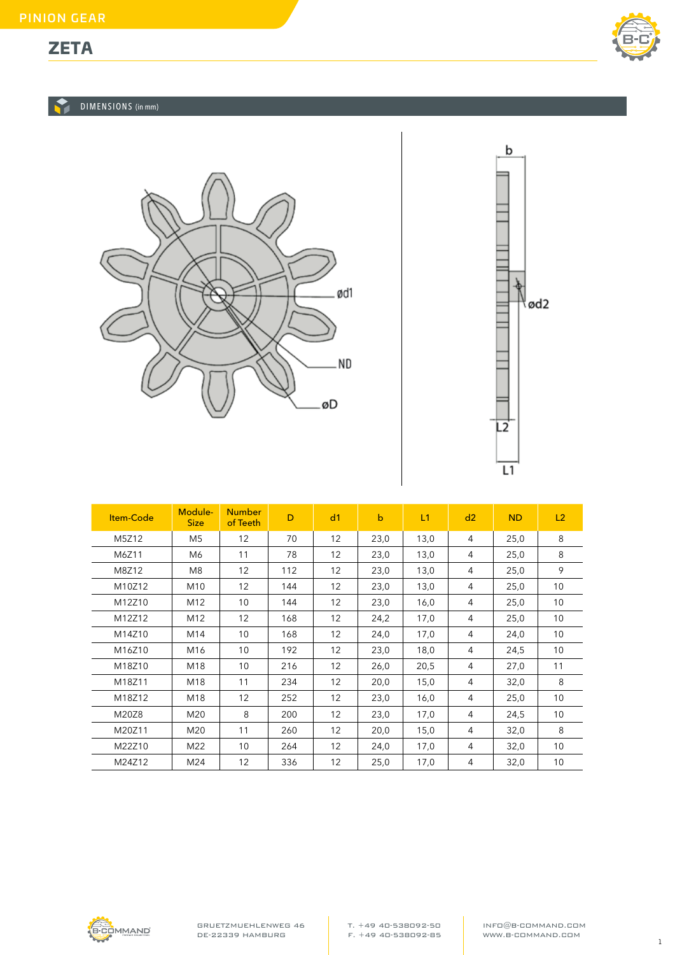## **ZETA**



DIMENSIONS (in mm)





| Item-Code | Module-<br><b>Size</b> | <b>Number</b><br>of Teeth | D   | d1                | $\mathsf b$ | L1   | d2 | <b>ND</b> | L2              |
|-----------|------------------------|---------------------------|-----|-------------------|-------------|------|----|-----------|-----------------|
| M5Z12     | M5                     | 12                        | 70  | 12                | 23,0        | 13,0 | 4  | 25,0      | 8               |
| M6Z11     | M6                     | 11                        | 78  | 12                | 23,0        | 13,0 | 4  | 25,0      | 8               |
| M8Z12     | M <sub>8</sub>         | 12                        | 112 | 12                | 23,0        | 13,0 | 4  | 25,0      | 9               |
| M10Z12    | M10                    | 12                        | 144 | 12                | 23,0        | 13,0 | 4  | 25,0      | 10              |
| M12Z10    | M12                    | 10                        | 144 | 12                | 23,0        | 16,0 | 4  | 25,0      | 10              |
| M12Z12    | M12                    | 12                        | 168 | 12                | 24,2        | 17,0 | 4  | 25,0      | 10              |
| M14Z10    | M14                    | 10                        | 168 | 12                | 24,0        | 17,0 | 4  | 24,0      | 10 <sup>°</sup> |
| M16Z10    | M16                    | 10 <sup>°</sup>           | 192 | 12                | 23,0        | 18,0 | 4  | 24,5      | 10 <sup>°</sup> |
| M18Z10    | M18                    | 10                        | 216 | 12                | 26,0        | 20,5 | 4  | 27,0      | 11              |
| M18Z11    | M18                    | 11                        | 234 | 12                | 20,0        | 15,0 | 4  | 32,0      | 8               |
| M18Z12    | M18                    | 12                        | 252 | 12                | 23,0        | 16,0 | 4  | 25,0      | 10 <sup>°</sup> |
| M20Z8     | M20                    | 8                         | 200 | 12                | 23,0        | 17,0 | 4  | 24,5      | 10 <sup>°</sup> |
| M20Z11    | M20                    | 11                        | 260 | 12                | 20,0        | 15,0 | 4  | 32,0      | 8               |
| M22Z10    | M22                    | 10                        | 264 | $12 \overline{ }$ | 24,0        | 17,0 | 4  | 32,0      | 10              |
| M24Z12    | M24                    | 12                        | 336 | 12                | 25,0        | 17,0 | 4  | 32,0      | 10              |



[info@B-command.com](mailto:info%40B-command.com?subject=) [www.b-command.com](http://www.b-command.com)